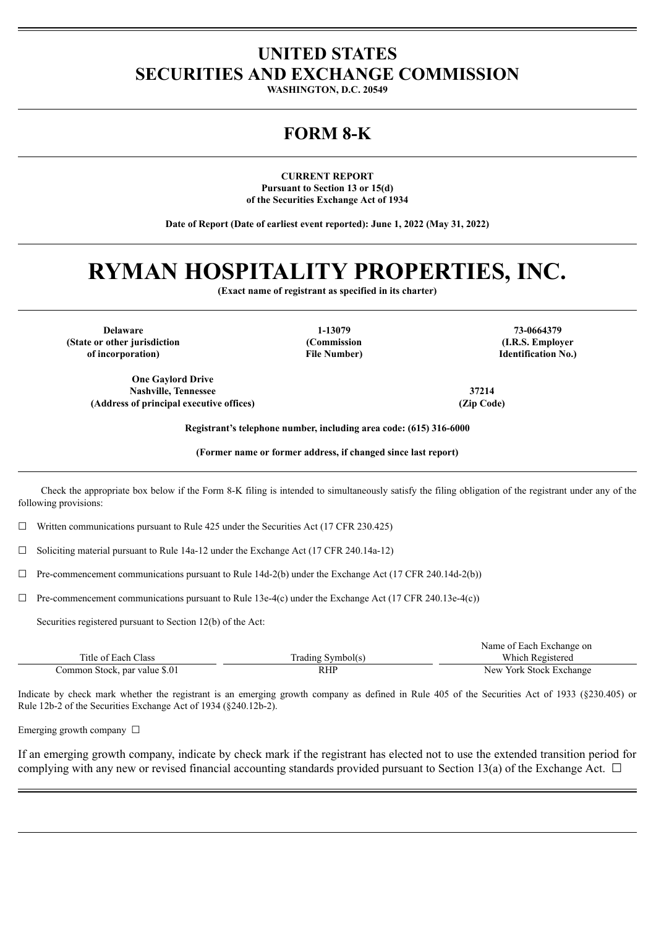### **UNITED STATES SECURITIES AND EXCHANGE COMMISSION**

**WASHINGTON, D.C. 20549**

## **FORM 8-K**

**CURRENT REPORT Pursuant to Section 13 or 15(d) of the Securities Exchange Act of 1934**

**Date of Report (Date of earliest event reported): June 1, 2022 (May 31, 2022)**

# **RYMAN HOSPITALITY PROPERTIES, INC.**

**(Exact name of registrant as specified in its charter)**

**Delaware 1-13079 73-0664379 (State or other jurisdiction of incorporation)**

**One Gaylord Drive Nashville, Tennessee 37214 (Address of principal executive offices) (Zip Code)**

**(Commission File Number)**

**(I.R.S. Employer Identification No.)**

**Registrant's telephone number, including area code: (615) 316-6000**

**(Former name or former address, if changed since last report)**

Check the appropriate box below if the Form 8-K filing is intended to simultaneously satisfy the filing obligation of the registrant under any of the following provisions:

 $\Box$  Written communications pursuant to Rule 425 under the Securities Act (17 CFR 230.425)

 $\Box$  Soliciting material pursuant to Rule 14a-12 under the Exchange Act (17 CFR 240.14a-12)

 $\Box$  Pre-commencement communications pursuant to Rule 14d-2(b) under the Exchange Act (17 CFR 240.14d-2(b))

 $\Box$  Pre-commencement communications pursuant to Rule 13e-4(c) under the Exchange Act (17 CFR 240.13e-4(c))

Securities registered pursuant to Section 12(b) of the Act:

|                               |                   | Name of Each Exchange on |
|-------------------------------|-------------------|--------------------------|
| Title of Each Class           | Trading Symbol(s) | Which Registered         |
| Common Stock, par value \$.01 | <b>RHF</b>        | New York Stock Exchange  |

Indicate by check mark whether the registrant is an emerging growth company as defined in Rule 405 of the Securities Act of 1933 (§230.405) or Rule 12b-2 of the Securities Exchange Act of 1934 (§240.12b-2).

Emerging growth company  $\Box$ 

If an emerging growth company, indicate by check mark if the registrant has elected not to use the extended transition period for complying with any new or revised financial accounting standards provided pursuant to Section 13(a) of the Exchange Act.  $\Box$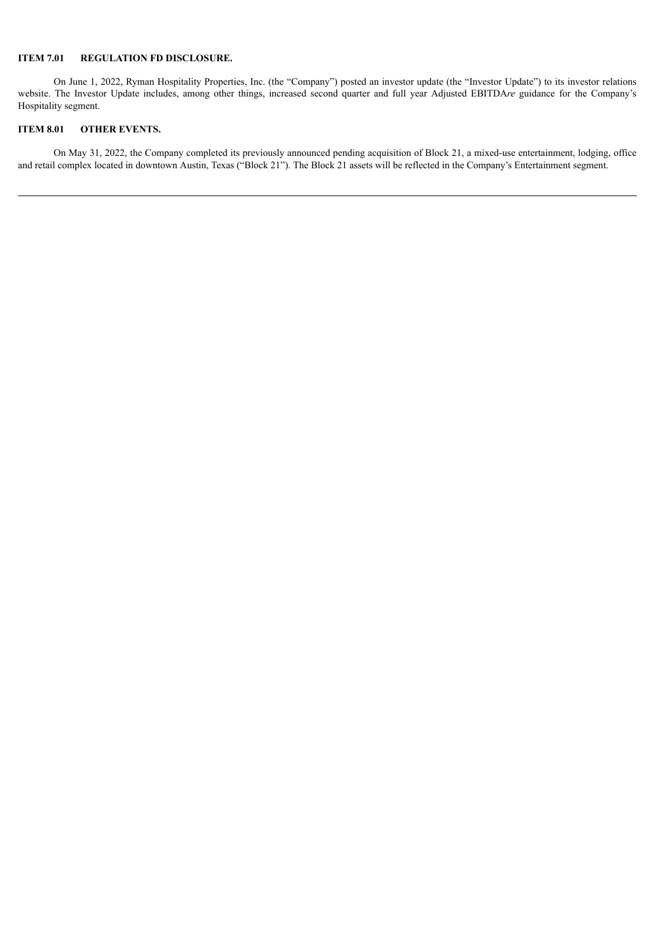#### **ITEM 7.01 REGULATION FD DISCLOSURE.**

On June 1, 2022, Ryman Hospitality Properties, Inc. (the "Company") posted an investor update (the "Investor Update") to its investor relations website. The Investor Update includes, among other things, increased second quarter and full year Adjusted EBITDA*re* guidance for the Company's Hospitality segment.

#### **ITEM 8.01 OTHER EVENTS.**

On May 31, 2022, the Company completed its previously announced pending acquisition of Block 21, a mixed-use entertainment, lodging, office and retail complex located in downtown Austin, Texas ("Block 21"). The Block 21 assets will be reflected in the Company's Entertainment segment.